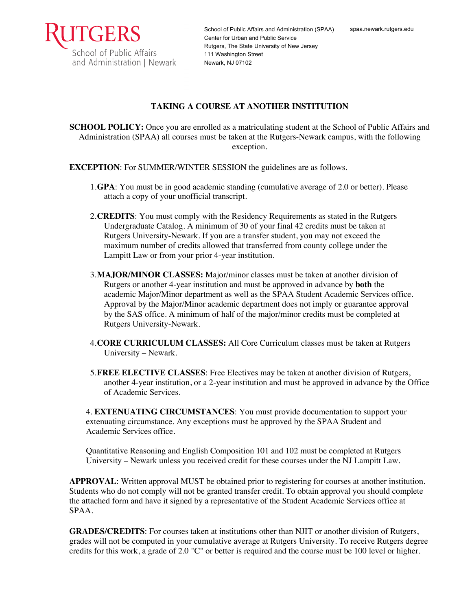

## **TAKING A COURSE AT ANOTHER INSTITUTION**

**SCHOOL POLICY:** Once you are enrolled as a matriculating student at the School of Public Affairs and Administration (SPAA) all courses must be taken at the Rutgers-Newark campus, with the following exception.

**EXCEPTION**: For SUMMER/WINTER SESSION the guidelines are as follows.

- 1.**GPA**: You must be in good academic standing (cumulative average of 2.0 or better). Please attach a copy of your unofficial transcript.
- 2.**CREDITS**: You must comply with the Residency Requirements as stated in the Rutgers Undergraduate Catalog. A minimum of 30 of your final 42 credits must be taken at Rutgers University-Newark. If you are a transfer student, you may not exceed the maximum number of credits allowed that transferred from county college under the Lampitt Law or from your prior 4-year institution.
- 3.**MAJOR/MINOR CLASSES:** Major/minor classes must be taken at another division of Rutgers or another 4-year institution and must be approved in advance by **both** the academic Major/Minor department as well as the SPAA Student Academic Services office. Approval by the Major/Minor academic department does not imply or guarantee approval by the SAS office. A minimum of half of the major/minor credits must be completed at Rutgers University-Newark.
- 4.**CORE CURRICULUM CLASSES:** All Core Curriculum classes must be taken at Rutgers University – Newark.
- 5.**FREE ELECTIVE CLASSES**: Free Electives may be taken at another division of Rutgers, another 4-year institution, or a 2-year institution and must be approved in advance by the Office of Academic Services.

4. **EXTENUATING CIRCUMSTANCES**: You must provide documentation to support your extenuating circumstance. Any exceptions must be approved by the SPAA Student and Academic Services office.

Quantitative Reasoning and English Composition 101 and 102 must be completed at Rutgers University – Newark unless you received credit for these courses under the NJ Lampitt Law.

**APPROVAL**: Written approval MUST be obtained prior to registering for courses at another institution. Students who do not comply will not be granted transfer credit. To obtain approval you should complete the attached form and have it signed by a representative of the Student Academic Services office at SPAA.

**GRADES/CREDITS**: For courses taken at institutions other than NJIT or another division of Rutgers, grades will not be computed in your cumulative average at Rutgers University. To receive Rutgers degree credits for this work, a grade of 2.0 "C" or better is required and the course must be 100 level or higher.